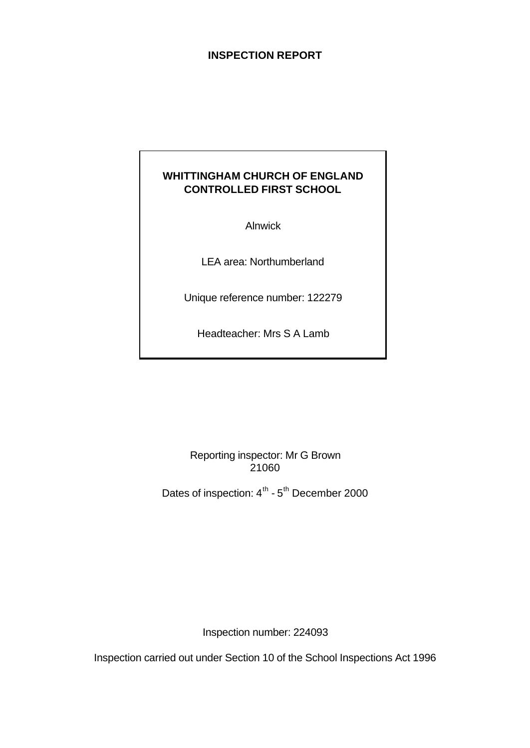## **INSPECTION REPORT**

# **WHITTINGHAM CHURCH OF ENGLAND CONTROLLED FIRST SCHOOL**

Alnwick

LEA area: Northumberland

Unique reference number: 122279

Headteacher: Mrs S A Lamb

Reporting inspector: Mr G Brown 21060

Dates of inspection:  $4^{\text{th}}$  -  $5^{\text{th}}$  December 2000

Inspection number: 224093

Inspection carried out under Section 10 of the School Inspections Act 1996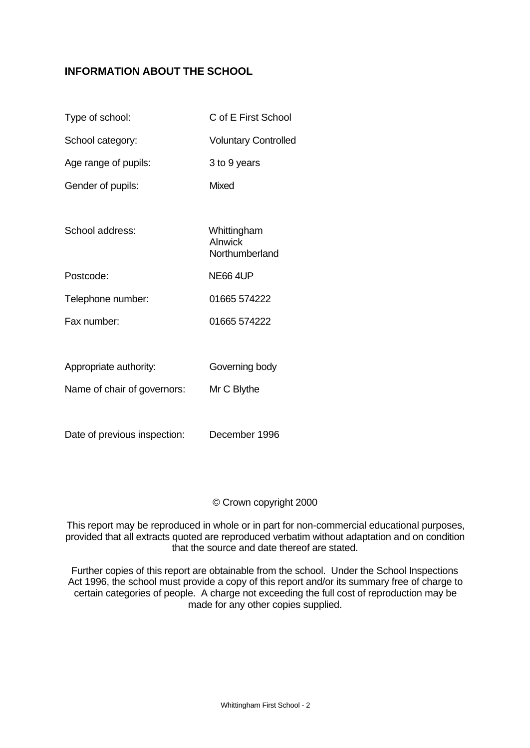# **INFORMATION ABOUT THE SCHOOL**

| Type of school:             | C of E First School                      |
|-----------------------------|------------------------------------------|
| School category:            | <b>Voluntary Controlled</b>              |
| Age range of pupils:        | 3 to 9 years                             |
| Gender of pupils:           | Mixed                                    |
|                             |                                          |
| School address:             | Whittingham<br>Alnwick<br>Northumberland |
| Postcode:                   | <b>NE66 4UP</b>                          |
| Telephone number:           | 01665 574222                             |
| Fax number:                 | 01665 574222                             |
|                             |                                          |
| Appropriate authority:      | Governing body                           |
| Name of chair of governors: | Mr C Blythe                              |

Date of previous inspection: December 1996

#### © Crown copyright 2000

This report may be reproduced in whole or in part for non-commercial educational purposes, provided that all extracts quoted are reproduced verbatim without adaptation and on condition that the source and date thereof are stated.

Further copies of this report are obtainable from the school. Under the School Inspections Act 1996, the school must provide a copy of this report and/or its summary free of charge to certain categories of people. A charge not exceeding the full cost of reproduction may be made for any other copies supplied.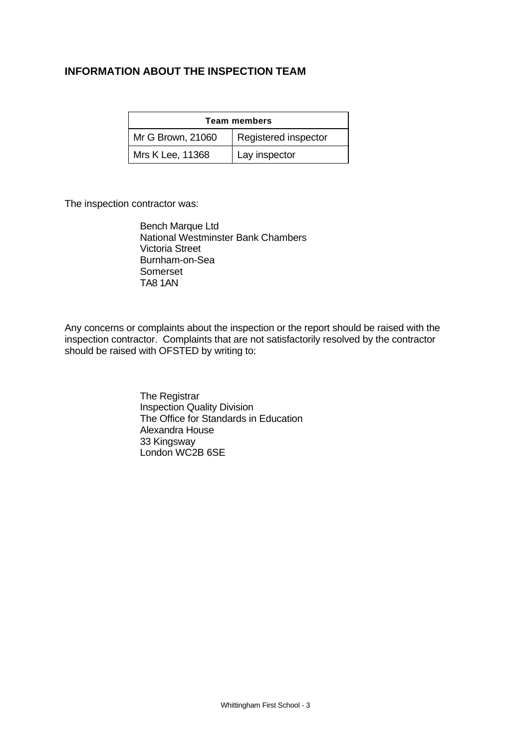## **INFORMATION ABOUT THE INSPECTION TEAM**

| <b>Team members</b> |                      |  |  |  |
|---------------------|----------------------|--|--|--|
| Mr G Brown, 21060   | Registered inspector |  |  |  |
| Mrs K Lee, 11368    | Lay inspector        |  |  |  |

The inspection contractor was:

Bench Marque Ltd National Westminster Bank Chambers Victoria Street Burnham-on-Sea Somerset TA8 1AN

Any concerns or complaints about the inspection or the report should be raised with the inspection contractor. Complaints that are not satisfactorily resolved by the contractor should be raised with OFSTED by writing to:

> The Registrar Inspection Quality Division The Office for Standards in Education Alexandra House 33 Kingsway London WC2B 6SE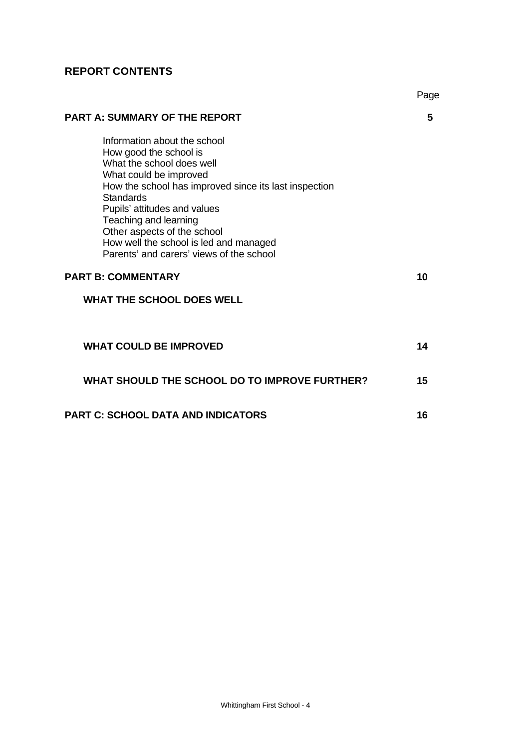# **REPORT CONTENTS**

|                                                                                                                                                                                                                                                                                                                                                                          | Page |
|--------------------------------------------------------------------------------------------------------------------------------------------------------------------------------------------------------------------------------------------------------------------------------------------------------------------------------------------------------------------------|------|
| <b>PART A: SUMMARY OF THE REPORT</b>                                                                                                                                                                                                                                                                                                                                     | 5    |
| Information about the school<br>How good the school is<br>What the school does well<br>What could be improved<br>How the school has improved since its last inspection<br><b>Standards</b><br>Pupils' attitudes and values<br>Teaching and learning<br>Other aspects of the school<br>How well the school is led and managed<br>Parents' and carers' views of the school |      |
| <b>PART B: COMMENTARY</b>                                                                                                                                                                                                                                                                                                                                                | 10   |
| <b>WHAT THE SCHOOL DOES WELL</b>                                                                                                                                                                                                                                                                                                                                         |      |
| <b>WHAT COULD BE IMPROVED</b>                                                                                                                                                                                                                                                                                                                                            | 14   |
| WHAT SHOULD THE SCHOOL DO TO IMPROVE FURTHER?                                                                                                                                                                                                                                                                                                                            | 15   |
| <b>PART C: SCHOOL DATA AND INDICATORS</b>                                                                                                                                                                                                                                                                                                                                | 16   |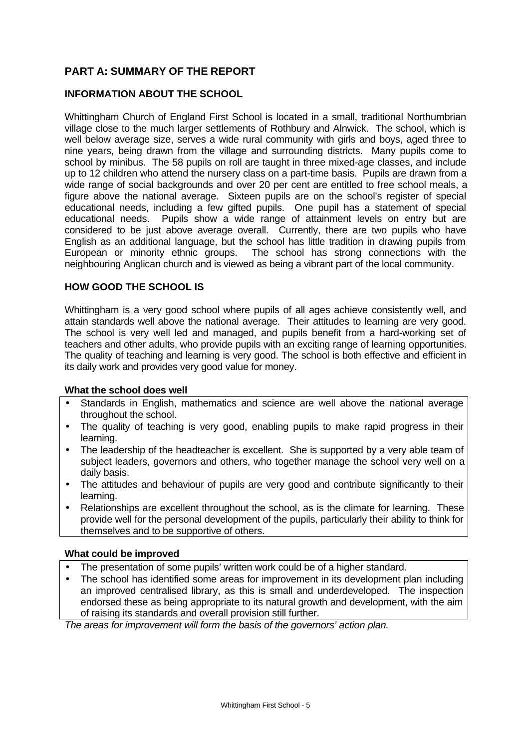# **PART A: SUMMARY OF THE REPORT**

### **INFORMATION ABOUT THE SCHOOL**

Whittingham Church of England First School is located in a small, traditional Northumbrian village close to the much larger settlements of Rothbury and Alnwick. The school, which is well below average size, serves a wide rural community with girls and boys, aged three to nine years, being drawn from the village and surrounding districts. Many pupils come to school by minibus. The 58 pupils on roll are taught in three mixed-age classes, and include up to 12 children who attend the nursery class on a part-time basis. Pupils are drawn from a wide range of social backgrounds and over 20 per cent are entitled to free school meals, a figure above the national average. Sixteen pupils are on the school's register of special educational needs, including a few gifted pupils. One pupil has a statement of special educational needs. Pupils show a wide range of attainment levels on entry but are considered to be just above average overall. Currently, there are two pupils who have English as an additional language, but the school has little tradition in drawing pupils from European or minority ethnic groups. The school has strong connections with the neighbouring Anglican church and is viewed as being a vibrant part of the local community.

#### **HOW GOOD THE SCHOOL IS**

Whittingham is a very good school where pupils of all ages achieve consistently well, and attain standards well above the national average. Their attitudes to learning are very good. The school is very well led and managed, and pupils benefit from a hard-working set of teachers and other adults, who provide pupils with an exciting range of learning opportunities. The quality of teaching and learning is very good. The school is both effective and efficient in its daily work and provides very good value for money.

#### **What the school does well**

- Standards in English, mathematics and science are well above the national average throughout the school.
- The quality of teaching is very good, enabling pupils to make rapid progress in their learning.
- The leadership of the headteacher is excellent. She is supported by a very able team of subject leaders, governors and others, who together manage the school very well on a daily basis.
- The attitudes and behaviour of pupils are very good and contribute significantly to their learning.
- Relationships are excellent throughout the school, as is the climate for learning. These provide well for the personal development of the pupils, particularly their ability to think for themselves and to be supportive of others.

#### **What could be improved**

- The presentation of some pupils' written work could be of a higher standard.
- The school has identified some areas for improvement in its development plan including an improved centralised library, as this is small and underdeveloped. The inspection endorsed these as being appropriate to its natural growth and development, with the aim of raising its standards and overall provision still further.

*The areas for improvement will form the basis of the governors' action plan.*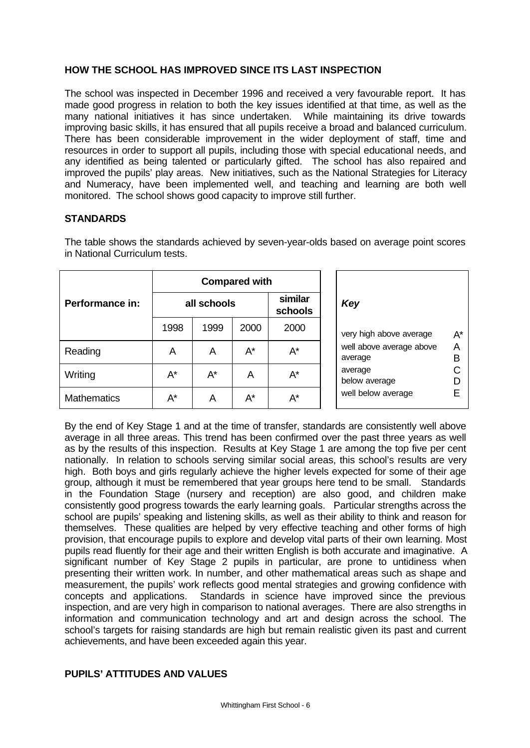## **HOW THE SCHOOL HAS IMPROVED SINCE ITS LAST INSPECTION**

The school was inspected in December 1996 and received a very favourable report. It has made good progress in relation to both the key issues identified at that time, as well as the many national initiatives it has since undertaken. While maintaining its drive towards improving basic skills, it has ensured that all pupils receive a broad and balanced curriculum. There has been considerable improvement in the wider deployment of staff, time and resources in order to support all pupils, including those with special educational needs, and any identified as being talented or particularly gifted. The school has also repaired and improved the pupils' play areas. New initiatives, such as the National Strategies for Literacy and Numeracy, have been implemented well, and teaching and learning are both well monitored. The school shows good capacity to improve still further.

#### **STANDARDS**

|                    | <b>Compared with</b> |      |                    |       |
|--------------------|----------------------|------|--------------------|-------|
| Performance in:    | all schools          |      | similar<br>schools |       |
|                    | 1998                 | 1999 | 2000               | 2000  |
| Reading            | Α                    | A    | A*                 | A*    |
| Writing            | A*                   | A*   | А                  | A*    |
| <b>Mathematics</b> | A*                   | A    | $A^*$              | $A^*$ |

The table shows the standards achieved by seven-year-olds based on average point scores in National Curriculum tests.

By the end of Key Stage 1 and at the time of transfer, standards are consistently well above average in all three areas. This trend has been confirmed over the past three years as well as by the results of this inspection. Results at Key Stage 1 are among the top five per cent nationally. In relation to schools serving similar social areas, this school's results are very high. Both boys and girls regularly achieve the higher levels expected for some of their age group, although it must be remembered that year groups here tend to be small. Standards in the Foundation Stage (nursery and reception) are also good, and children make consistently good progress towards the early learning goals. Particular strengths across the school are pupils' speaking and listening skills, as well as their ability to think and reason for themselves. These qualities are helped by very effective teaching and other forms of high provision, that encourage pupils to explore and develop vital parts of their own learning. Most pupils read fluently for their age and their written English is both accurate and imaginative. A significant number of Key Stage 2 pupils in particular, are prone to untidiness when presenting their written work. In number, and other mathematical areas such as shape and measurement, the pupils' work reflects good mental strategies and growing confidence with concepts and applications. Standards in science have improved since the previous inspection, and are very high in comparison to national averages. There are also strengths in information and communication technology and art and design across the school. The school's targets for raising standards are high but remain realistic given its past and current achievements, and have been exceeded again this year.

#### **PUPILS' ATTITUDES AND VALUES**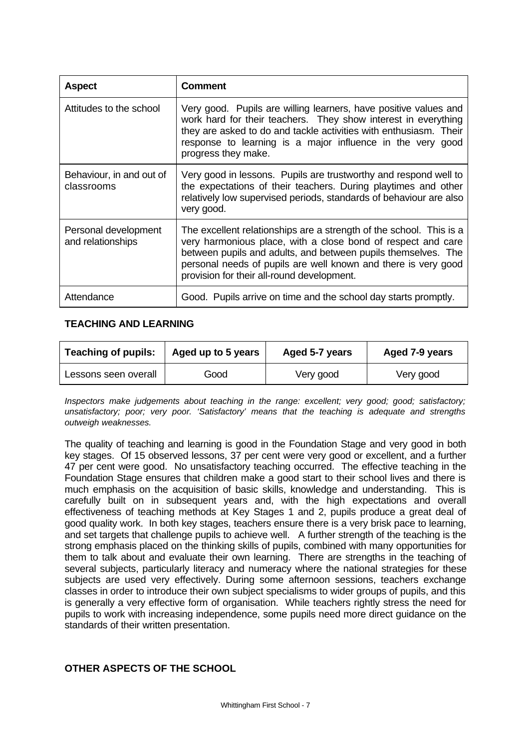| <b>Aspect</b>                             | <b>Comment</b>                                                                                                                                                                                                                                                                                                       |
|-------------------------------------------|----------------------------------------------------------------------------------------------------------------------------------------------------------------------------------------------------------------------------------------------------------------------------------------------------------------------|
| Attitudes to the school                   | Very good. Pupils are willing learners, have positive values and<br>work hard for their teachers. They show interest in everything<br>they are asked to do and tackle activities with enthusiasm. Their<br>response to learning is a major influence in the very good<br>progress they make.                         |
| Behaviour, in and out of<br>classrooms    | Very good in lessons. Pupils are trustworthy and respond well to<br>the expectations of their teachers. During playtimes and other<br>relatively low supervised periods, standards of behaviour are also<br>very good.                                                                                               |
| Personal development<br>and relationships | The excellent relationships are a strength of the school. This is a<br>very harmonious place, with a close bond of respect and care<br>between pupils and adults, and between pupils themselves. The<br>personal needs of pupils are well known and there is very good<br>provision for their all-round development. |
| Attendance                                | Good. Pupils arrive on time and the school day starts promptly.                                                                                                                                                                                                                                                      |

## **TEACHING AND LEARNING**

| <b>Teaching of pupils:</b><br>Aged up to 5 years |      | Aged 5-7 years | Aged 7-9 years |  |
|--------------------------------------------------|------|----------------|----------------|--|
| Lessons seen overall                             | Good | Very good      | Very good      |  |

*Inspectors make judgements about teaching in the range: excellent; very good; good; satisfactory; unsatisfactory; poor; very poor. 'Satisfactory' means that the teaching is adequate and strengths outweigh weaknesses.*

The quality of teaching and learning is good in the Foundation Stage and very good in both key stages. Of 15 observed lessons, 37 per cent were very good or excellent, and a further 47 per cent were good. No unsatisfactory teaching occurred. The effective teaching in the Foundation Stage ensures that children make a good start to their school lives and there is much emphasis on the acquisition of basic skills, knowledge and understanding. This is carefully built on in subsequent years and, with the high expectations and overall effectiveness of teaching methods at Key Stages 1 and 2, pupils produce a great deal of good quality work. In both key stages, teachers ensure there is a very brisk pace to learning, and set targets that challenge pupils to achieve well. A further strength of the teaching is the strong emphasis placed on the thinking skills of pupils, combined with many opportunities for them to talk about and evaluate their own learning. There are strengths in the teaching of several subjects, particularly literacy and numeracy where the national strategies for these subjects are used very effectively. During some afternoon sessions, teachers exchange classes in order to introduce their own subject specialisms to wider groups of pupils, and this is generally a very effective form of organisation. While teachers rightly stress the need for pupils to work with increasing independence, some pupils need more direct guidance on the standards of their written presentation.

## **OTHER ASPECTS OF THE SCHOOL**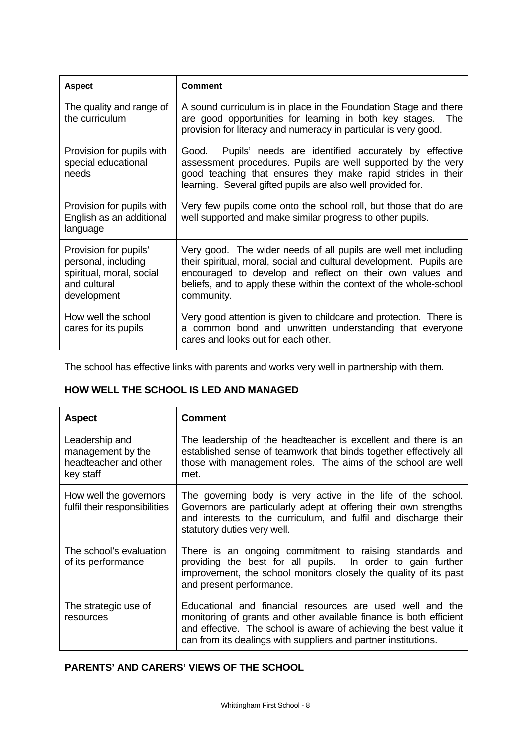| <b>Aspect</b>                                                                                           | <b>Comment</b>                                                                                                                                                                                                                                                                          |
|---------------------------------------------------------------------------------------------------------|-----------------------------------------------------------------------------------------------------------------------------------------------------------------------------------------------------------------------------------------------------------------------------------------|
| The quality and range of<br>the curriculum                                                              | A sound curriculum is in place in the Foundation Stage and there<br>are good opportunities for learning in both key stages.<br>The<br>provision for literacy and numeracy in particular is very good.                                                                                   |
| Provision for pupils with<br>special educational<br>needs                                               | Pupils' needs are identified accurately by effective<br>Good.<br>assessment procedures. Pupils are well supported by the very<br>good teaching that ensures they make rapid strides in their<br>learning. Several gifted pupils are also well provided for.                             |
| Provision for pupils with<br>English as an additional<br>language                                       | Very few pupils come onto the school roll, but those that do are<br>well supported and make similar progress to other pupils.                                                                                                                                                           |
| Provision for pupils'<br>personal, including<br>spiritual, moral, social<br>and cultural<br>development | Very good. The wider needs of all pupils are well met including<br>their spiritual, moral, social and cultural development. Pupils are<br>encouraged to develop and reflect on their own values and<br>beliefs, and to apply these within the context of the whole-school<br>community. |
| How well the school<br>cares for its pupils                                                             | Very good attention is given to childcare and protection. There is<br>a common bond and unwritten understanding that everyone<br>cares and looks out for each other.                                                                                                                    |

The school has effective links with parents and works very well in partnership with them.

## **HOW WELL THE SCHOOL IS LED AND MANAGED**

| <b>Aspect</b>                                                             | <b>Comment</b>                                                                                                                                                                                                                                                         |
|---------------------------------------------------------------------------|------------------------------------------------------------------------------------------------------------------------------------------------------------------------------------------------------------------------------------------------------------------------|
| Leadership and<br>management by the<br>headteacher and other<br>key staff | The leadership of the headteacher is excellent and there is an<br>established sense of teamwork that binds together effectively all<br>those with management roles. The aims of the school are well<br>met.                                                            |
| How well the governors<br>fulfil their responsibilities                   | The governing body is very active in the life of the school.<br>Governors are particularly adept at offering their own strengths<br>and interests to the curriculum, and fulfil and discharge their<br>statutory duties very well.                                     |
| The school's evaluation<br>of its performance                             | There is an ongoing commitment to raising standards and<br>providing the best for all pupils. In order to gain further<br>improvement, the school monitors closely the quality of its past<br>and present performance.                                                 |
| The strategic use of<br>resources                                         | Educational and financial resources are used well and the<br>monitoring of grants and other available finance is both efficient<br>and effective. The school is aware of achieving the best value it<br>can from its dealings with suppliers and partner institutions. |

# **PARENTS' AND CARERS' VIEWS OF THE SCHOOL**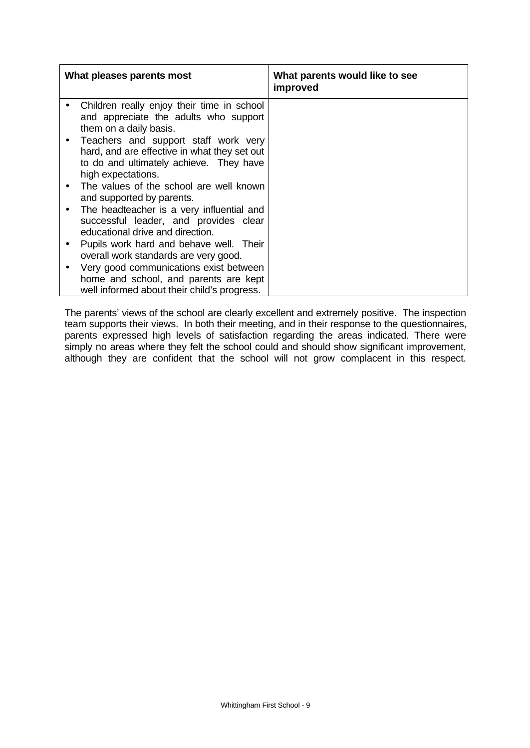| What pleases parents most                                                                                                                             | What parents would like to see<br>improved |
|-------------------------------------------------------------------------------------------------------------------------------------------------------|--------------------------------------------|
| Children really enjoy their time in school<br>and appreciate the adults who support<br>them on a daily basis.                                         |                                            |
| Teachers and support staff work very<br>hard, and are effective in what they set out<br>to do and ultimately achieve. They have<br>high expectations. |                                            |
| The values of the school are well known<br>and supported by parents.                                                                                  |                                            |
| The headteacher is a very influential and<br>successful leader, and provides clear<br>educational drive and direction.                                |                                            |
| Pupils work hard and behave well. Their<br>overall work standards are very good.                                                                      |                                            |
| Very good communications exist between<br>home and school, and parents are kept<br>well informed about their child's progress.                        |                                            |

The parents' views of the school are clearly excellent and extremely positive. The inspection team supports their views. In both their meeting, and in their response to the questionnaires, parents expressed high levels of satisfaction regarding the areas indicated. There were simply no areas where they felt the school could and should show significant improvement, although they are confident that the school will not grow complacent in this respect.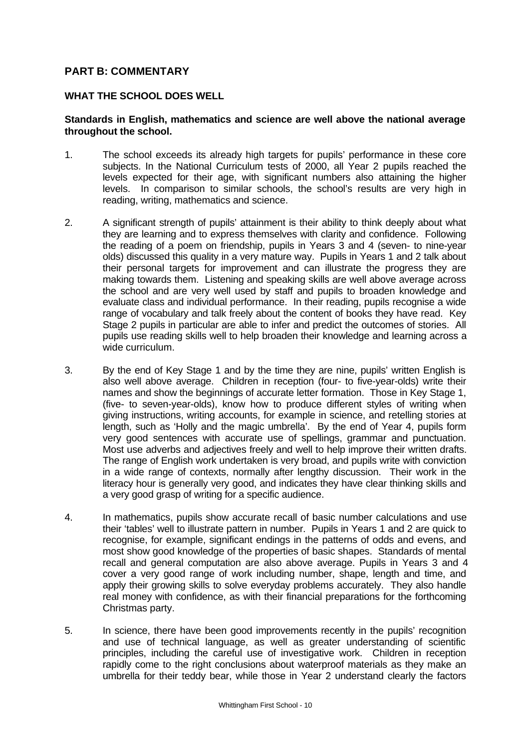## **PART B: COMMENTARY**

#### **WHAT THE SCHOOL DOES WELL**

#### **Standards in English, mathematics and science are well above the national average throughout the school.**

- 1. The school exceeds its already high targets for pupils' performance in these core subjects. In the National Curriculum tests of 2000, all Year 2 pupils reached the levels expected for their age, with significant numbers also attaining the higher levels. In comparison to similar schools, the school's results are very high in reading, writing, mathematics and science.
- 2. A significant strength of pupils' attainment is their ability to think deeply about what they are learning and to express themselves with clarity and confidence. Following the reading of a poem on friendship, pupils in Years 3 and 4 (seven- to nine-year olds) discussed this quality in a very mature way. Pupils in Years 1 and 2 talk about their personal targets for improvement and can illustrate the progress they are making towards them. Listening and speaking skills are well above average across the school and are very well used by staff and pupils to broaden knowledge and evaluate class and individual performance. In their reading, pupils recognise a wide range of vocabulary and talk freely about the content of books they have read. Key Stage 2 pupils in particular are able to infer and predict the outcomes of stories. All pupils use reading skills well to help broaden their knowledge and learning across a wide curriculum.
- 3. By the end of Key Stage 1 and by the time they are nine, pupils' written English is also well above average. Children in reception (four- to five-year-olds) write their names and show the beginnings of accurate letter formation. Those in Key Stage 1, (five- to seven-year-olds), know how to produce different styles of writing when giving instructions, writing accounts, for example in science, and retelling stories at length, such as 'Holly and the magic umbrella'. By the end of Year 4, pupils form very good sentences with accurate use of spellings, grammar and punctuation. Most use adverbs and adjectives freely and well to help improve their written drafts. The range of English work undertaken is very broad, and pupils write with conviction in a wide range of contexts, normally after lengthy discussion. Their work in the literacy hour is generally very good, and indicates they have clear thinking skills and a very good grasp of writing for a specific audience.
- 4. In mathematics, pupils show accurate recall of basic number calculations and use their 'tables' well to illustrate pattern in number. Pupils in Years 1 and 2 are quick to recognise, for example, significant endings in the patterns of odds and evens, and most show good knowledge of the properties of basic shapes. Standards of mental recall and general computation are also above average. Pupils in Years 3 and 4 cover a very good range of work including number, shape, length and time, and apply their growing skills to solve everyday problems accurately. They also handle real money with confidence, as with their financial preparations for the forthcoming Christmas party.
- 5. In science, there have been good improvements recently in the pupils' recognition and use of technical language, as well as greater understanding of scientific principles, including the careful use of investigative work. Children in reception rapidly come to the right conclusions about waterproof materials as they make an umbrella for their teddy bear, while those in Year 2 understand clearly the factors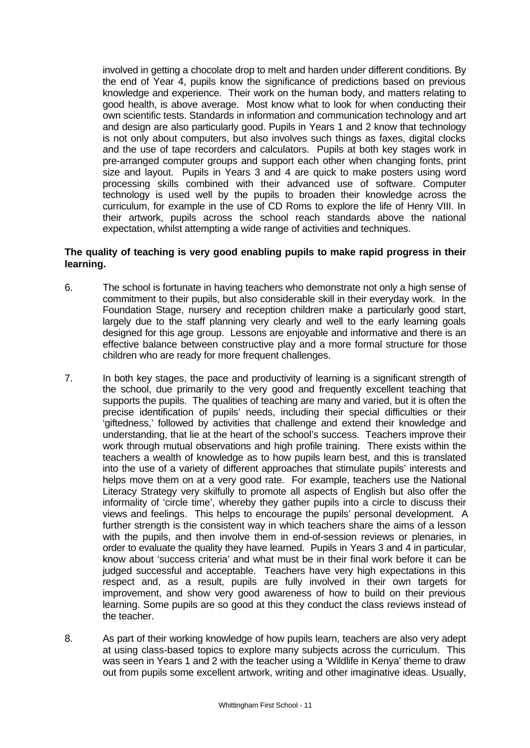involved in getting a chocolate drop to melt and harden under different conditions. By the end of Year 4, pupils know the significance of predictions based on previous knowledge and experience. Their work on the human body, and matters relating to good health, is above average. Most know what to look for when conducting their own scientific tests. Standards in information and communication technology and art and design are also particularly good. Pupils in Years 1 and 2 know that technology is not only about computers, but also involves such things as faxes, digital clocks and the use of tape recorders and calculators. Pupils at both key stages work in pre-arranged computer groups and support each other when changing fonts, print size and layout. Pupils in Years 3 and 4 are quick to make posters using word processing skills combined with their advanced use of software. Computer technology is used well by the pupils to broaden their knowledge across the curriculum, for example in the use of CD Roms to explore the life of Henry VIII. In their artwork, pupils across the school reach standards above the national expectation, whilst attempting a wide range of activities and techniques.

## **The quality of teaching is very good enabling pupils to make rapid progress in their learning.**

- 6. The school is fortunate in having teachers who demonstrate not only a high sense of commitment to their pupils, but also considerable skill in their everyday work. In the Foundation Stage, nursery and reception children make a particularly good start, largely due to the staff planning very clearly and well to the early learning goals designed for this age group. Lessons are enjoyable and informative and there is an effective balance between constructive play and a more formal structure for those children who are ready for more frequent challenges.
- 7. In both key stages, the pace and productivity of learning is a significant strength of the school, due primarily to the very good and frequently excellent teaching that supports the pupils. The qualities of teaching are many and varied, but it is often the precise identification of pupils' needs, including their special difficulties or their 'giftedness,' followed by activities that challenge and extend their knowledge and understanding, that lie at the heart of the school's success. Teachers improve their work through mutual observations and high profile training. There exists within the teachers a wealth of knowledge as to how pupils learn best, and this is translated into the use of a variety of different approaches that stimulate pupils' interests and helps move them on at a very good rate. For example, teachers use the National Literacy Strategy very skilfully to promote all aspects of English but also offer the informality of 'circle time', whereby they gather pupils into a circle to discuss their views and feelings. This helps to encourage the pupils' personal development. A further strength is the consistent way in which teachers share the aims of a lesson with the pupils, and then involve them in end-of-session reviews or plenaries, in order to evaluate the quality they have learned. Pupils in Years 3 and 4 in particular, know about 'success criteria' and what must be in their final work before it can be judged successful and acceptable. Teachers have very high expectations in this respect and, as a result, pupils are fully involved in their own targets for improvement, and show very good awareness of how to build on their previous learning. Some pupils are so good at this they conduct the class reviews instead of the teacher.
- 8. As part of their working knowledge of how pupils learn, teachers are also very adept at using class-based topics to explore many subjects across the curriculum. This was seen in Years 1 and 2 with the teacher using a 'Wildlife in Kenya' theme to draw out from pupils some excellent artwork, writing and other imaginative ideas. Usually,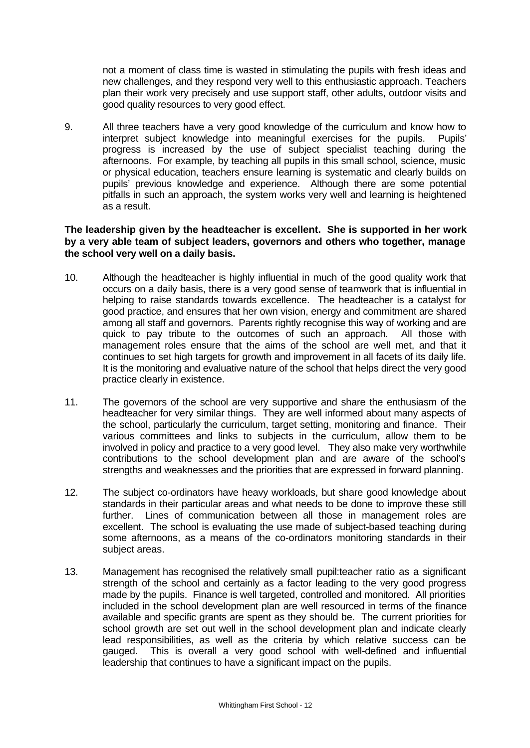not a moment of class time is wasted in stimulating the pupils with fresh ideas and new challenges, and they respond very well to this enthusiastic approach. Teachers plan their work very precisely and use support staff, other adults, outdoor visits and good quality resources to very good effect.

9. All three teachers have a very good knowledge of the curriculum and know how to interpret subject knowledge into meaningful exercises for the pupils. Pupils' progress is increased by the use of subject specialist teaching during the afternoons. For example, by teaching all pupils in this small school, science, music or physical education, teachers ensure learning is systematic and clearly builds on pupils' previous knowledge and experience. Although there are some potential pitfalls in such an approach, the system works very well and learning is heightened as a result.

#### **The leadership given by the headteacher is excellent. She is supported in her work by a very able team of subject leaders, governors and others who together, manage the school very well on a daily basis.**

- 10. Although the headteacher is highly influential in much of the good quality work that occurs on a daily basis, there is a very good sense of teamwork that is influential in helping to raise standards towards excellence. The headteacher is a catalyst for good practice, and ensures that her own vision, energy and commitment are shared among all staff and governors. Parents rightly recognise this way of working and are quick to pay tribute to the outcomes of such an approach. All those with management roles ensure that the aims of the school are well met, and that it continues to set high targets for growth and improvement in all facets of its daily life. It is the monitoring and evaluative nature of the school that helps direct the very good practice clearly in existence.
- 11. The governors of the school are very supportive and share the enthusiasm of the headteacher for very similar things. They are well informed about many aspects of the school, particularly the curriculum, target setting, monitoring and finance. Their various committees and links to subjects in the curriculum, allow them to be involved in policy and practice to a very good level. They also make very worthwhile contributions to the school development plan and are aware of the school's strengths and weaknesses and the priorities that are expressed in forward planning.
- 12. The subject co-ordinators have heavy workloads, but share good knowledge about standards in their particular areas and what needs to be done to improve these still further. Lines of communication between all those in management roles are excellent. The school is evaluating the use made of subject-based teaching during some afternoons, as a means of the co-ordinators monitoring standards in their subject areas.
- 13. Management has recognised the relatively small pupil:teacher ratio as a significant strength of the school and certainly as a factor leading to the very good progress made by the pupils. Finance is well targeted, controlled and monitored. All priorities included in the school development plan are well resourced in terms of the finance available and specific grants are spent as they should be. The current priorities for school growth are set out well in the school development plan and indicate clearly lead responsibilities, as well as the criteria by which relative success can be gauged. This is overall a very good school with well-defined and influential leadership that continues to have a significant impact on the pupils.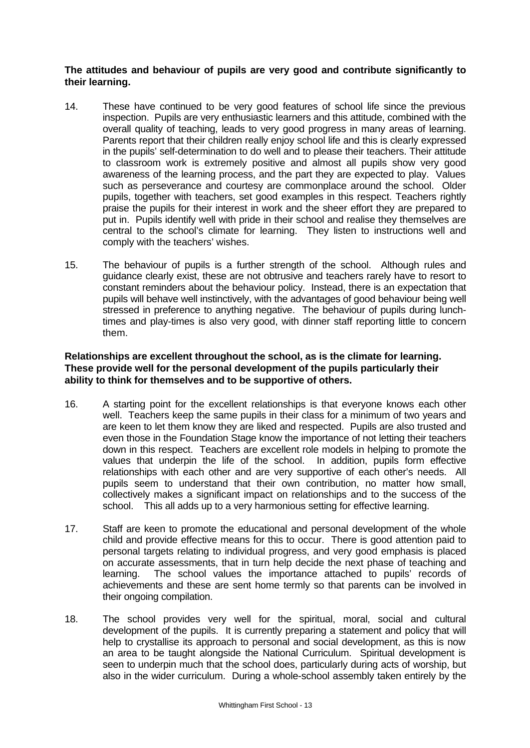## **The attitudes and behaviour of pupils are very good and contribute significantly to their learning.**

- 14. These have continued to be very good features of school life since the previous inspection. Pupils are very enthusiastic learners and this attitude, combined with the overall quality of teaching, leads to very good progress in many areas of learning. Parents report that their children really enjoy school life and this is clearly expressed in the pupils' self-determination to do well and to please their teachers. Their attitude to classroom work is extremely positive and almost all pupils show very good awareness of the learning process, and the part they are expected to play. Values such as perseverance and courtesy are commonplace around the school. Older pupils, together with teachers, set good examples in this respect. Teachers rightly praise the pupils for their interest in work and the sheer effort they are prepared to put in. Pupils identify well with pride in their school and realise they themselves are central to the school's climate for learning. They listen to instructions well and comply with the teachers' wishes.
- 15. The behaviour of pupils is a further strength of the school. Although rules and guidance clearly exist, these are not obtrusive and teachers rarely have to resort to constant reminders about the behaviour policy. Instead, there is an expectation that pupils will behave well instinctively, with the advantages of good behaviour being well stressed in preference to anything negative. The behaviour of pupils during lunchtimes and play-times is also very good, with dinner staff reporting little to concern them.

### **Relationships are excellent throughout the school, as is the climate for learning. These provide well for the personal development of the pupils particularly their ability to think for themselves and to be supportive of others.**

- 16. A starting point for the excellent relationships is that everyone knows each other well. Teachers keep the same pupils in their class for a minimum of two years and are keen to let them know they are liked and respected. Pupils are also trusted and even those in the Foundation Stage know the importance of not letting their teachers down in this respect. Teachers are excellent role models in helping to promote the values that underpin the life of the school. In addition, pupils form effective relationships with each other and are very supportive of each other's needs. All pupils seem to understand that their own contribution, no matter how small, collectively makes a significant impact on relationships and to the success of the school. This all adds up to a very harmonious setting for effective learning.
- 17. Staff are keen to promote the educational and personal development of the whole child and provide effective means for this to occur. There is good attention paid to personal targets relating to individual progress, and very good emphasis is placed on accurate assessments, that in turn help decide the next phase of teaching and learning. The school values the importance attached to pupils' records of achievements and these are sent home termly so that parents can be involved in their ongoing compilation.
- 18. The school provides very well for the spiritual, moral, social and cultural development of the pupils. It is currently preparing a statement and policy that will help to crystallise its approach to personal and social development, as this is now an area to be taught alongside the National Curriculum. Spiritual development is seen to underpin much that the school does, particularly during acts of worship, but also in the wider curriculum. During a whole-school assembly taken entirely by the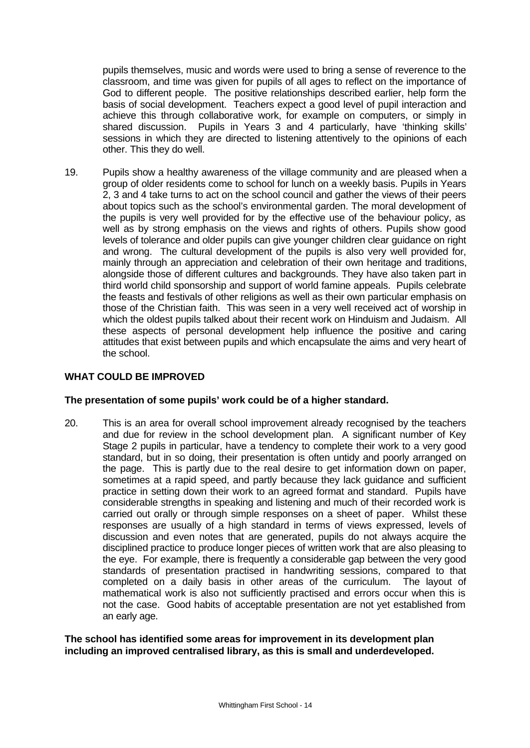pupils themselves, music and words were used to bring a sense of reverence to the classroom, and time was given for pupils of all ages to reflect on the importance of God to different people. The positive relationships described earlier, help form the basis of social development. Teachers expect a good level of pupil interaction and achieve this through collaborative work, for example on computers, or simply in shared discussion. Pupils in Years 3 and 4 particularly, have 'thinking skills' sessions in which they are directed to listening attentively to the opinions of each other. This they do well.

19. Pupils show a healthy awareness of the village community and are pleased when a group of older residents come to school for lunch on a weekly basis. Pupils in Years 2, 3 and 4 take turns to act on the school council and gather the views of their peers about topics such as the school's environmental garden. The moral development of the pupils is very well provided for by the effective use of the behaviour policy, as well as by strong emphasis on the views and rights of others. Pupils show good levels of tolerance and older pupils can give younger children clear guidance on right and wrong. The cultural development of the pupils is also very well provided for, mainly through an appreciation and celebration of their own heritage and traditions, alongside those of different cultures and backgrounds. They have also taken part in third world child sponsorship and support of world famine appeals. Pupils celebrate the feasts and festivals of other religions as well as their own particular emphasis on those of the Christian faith. This was seen in a very well received act of worship in which the oldest pupils talked about their recent work on Hinduism and Judaism. All these aspects of personal development help influence the positive and caring attitudes that exist between pupils and which encapsulate the aims and very heart of the school.

#### **WHAT COULD BE IMPROVED**

#### **The presentation of some pupils' work could be of a higher standard.**

20. This is an area for overall school improvement already recognised by the teachers and due for review in the school development plan. A significant number of Key Stage 2 pupils in particular, have a tendency to complete their work to a very good standard, but in so doing, their presentation is often untidy and poorly arranged on the page. This is partly due to the real desire to get information down on paper, sometimes at a rapid speed, and partly because they lack guidance and sufficient practice in setting down their work to an agreed format and standard. Pupils have considerable strengths in speaking and listening and much of their recorded work is carried out orally or through simple responses on a sheet of paper. Whilst these responses are usually of a high standard in terms of views expressed, levels of discussion and even notes that are generated, pupils do not always acquire the disciplined practice to produce longer pieces of written work that are also pleasing to the eye. For example, there is frequently a considerable gap between the very good standards of presentation practised in handwriting sessions, compared to that completed on a daily basis in other areas of the curriculum. The layout of mathematical work is also not sufficiently practised and errors occur when this is not the case. Good habits of acceptable presentation are not yet established from an early age.

**The school has identified some areas for improvement in its development plan including an improved centralised library, as this is small and underdeveloped.**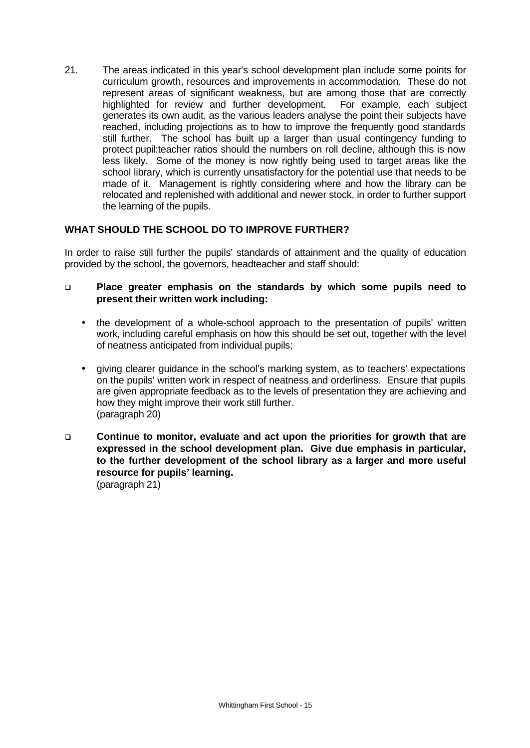21. The areas indicated in this year's school development plan include some points for curriculum growth, resources and improvements in accommodation. These do not represent areas of significant weakness, but are among those that are correctly highlighted for review and further development. For example, each subject generates its own audit, as the various leaders analyse the point their subjects have reached, including projections as to how to improve the frequently good standards still further. The school has built up a larger than usual contingency funding to protect pupil:teacher ratios should the numbers on roll decline, although this is now less likely. Some of the money is now rightly being used to target areas like the school library, which is currently unsatisfactory for the potential use that needs to be made of it. Management is rightly considering where and how the library can be relocated and replenished with additional and newer stock, in order to further support the learning of the pupils.

## **WHAT SHOULD THE SCHOOL DO TO IMPROVE FURTHER?**

In order to raise still further the pupils' standards of attainment and the quality of education provided by the school, the governors, headteacher and staff should:

### q **Place greater emphasis on the standards by which some pupils need to present their written work including:**

- the development of a whole-school approach to the presentation of pupils' written work, including careful emphasis on how this should be set out, together with the level of neatness anticipated from individual pupils;
- giving clearer guidance in the school's marking system, as to teachers' expectations on the pupils' written work in respect of neatness and orderliness. Ensure that pupils are given appropriate feedback as to the levels of presentation they are achieving and how they might improve their work still further. (paragraph 20)
- q **Continue to monitor, evaluate and act upon the priorities for growth that are expressed in the school development plan. Give due emphasis in particular, to the further development of the school library as a larger and more useful resource for pupils' learning.** (paragraph 21)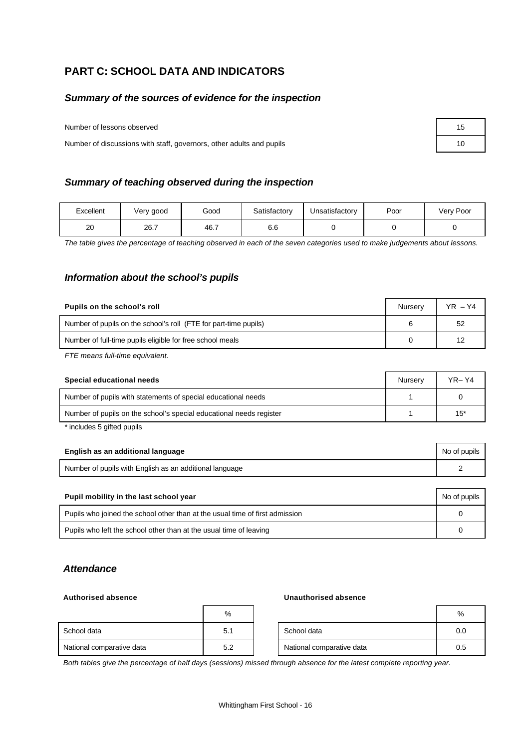# **PART C: SCHOOL DATA AND INDICATORS**

#### *Summary of the sources of evidence for the inspection*

Number of lessons observed

Number of discussions with staff, governors, other adults and pupils

#### *Summary of teaching observed during the inspection*

| Excellent | Very good | Good | Satisfactory | Unsatisfactory | Poor | Very Poor |
|-----------|-----------|------|--------------|----------------|------|-----------|
| 20        | 26.7      | 46.7 | o.o          |                |      |           |

*The table gives the percentage of teaching observed in each of the seven categories used to make judgements about lessons.*

#### *Information about the school's pupils*

| Pupils on the school's roll                                      | Nurserv | $YR - Y4$ |
|------------------------------------------------------------------|---------|-----------|
| Number of pupils on the school's roll (FTE for part-time pupils) |         | 52        |
| Number of full-time pupils eligible for free school meals        |         | 12        |

*FTE means full-time equivalent.*

| Special educational needs                                           | Nurserv | YR- Y4 |
|---------------------------------------------------------------------|---------|--------|
| Number of pupils with statements of special educational needs       |         |        |
| Number of pupils on the school's special educational needs register |         | $15*$  |

\* includes 5 gifted pupils

| English as an additional language                       | No of pupils |
|---------------------------------------------------------|--------------|
| Number of pupils with English as an additional language |              |

| Pupil mobility in the last school year                                       |  |  |  |  |
|------------------------------------------------------------------------------|--|--|--|--|
| Pupils who joined the school other than at the usual time of first admission |  |  |  |  |
| Pupils who left the school other than at the usual time of leaving           |  |  |  |  |

#### *Attendance*

#### **Authorised absence Unauthorised absence**

|                           | %   |                           | %   |
|---------------------------|-----|---------------------------|-----|
| School data               | 5.1 | School data               | 0.0 |
| National comparative data | 5.2 | National comparative data | 0.5 |

*Both tables give the percentage of half days (sessions) missed through absence for the latest complete reporting year.*

| 15 |  |
|----|--|
| 10 |  |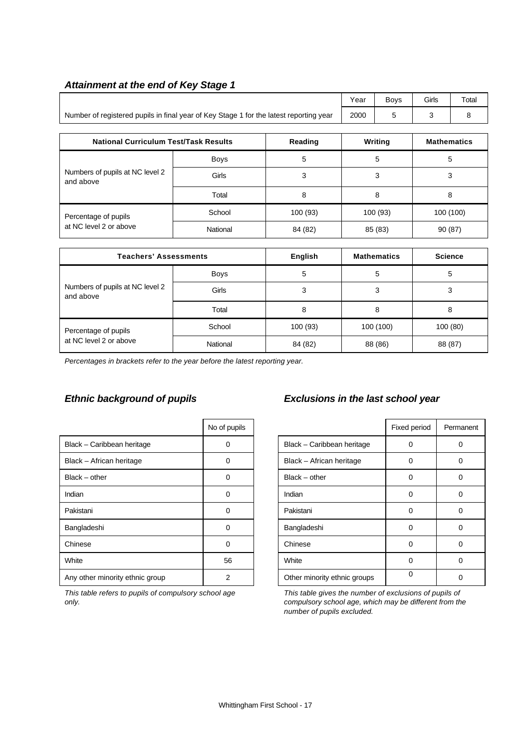#### *Attainment at the end of Key Stage 1*

|                                                                                        | Year | <b>Bovs</b> | Girls | Total |
|----------------------------------------------------------------------------------------|------|-------------|-------|-------|
| Number of registered pupils in final year of Key Stage 1 for the latest reporting year | 2000 |             |       |       |

| <b>National Curriculum Test/Task Results</b> |             | Reading  | Writing | <b>Mathematics</b> |
|----------------------------------------------|-------------|----------|---------|--------------------|
|                                              | <b>Boys</b> | 5        | 5       | 5                  |
| Numbers of pupils at NC level 2<br>and above | Girls       | 3        | 3       | 3                  |
|                                              | Total       | 8        | 8       | 8                  |
| Percentage of pupils                         | School      | 100 (93) | 100(93) | 100 (100)          |
| at NC level 2 or above                       | National    | 84 (82)  | 85 (83) | 90 (87)            |

| <b>Teachers' Assessments</b>                 |             | English  | <b>Mathematics</b> | <b>Science</b> |
|----------------------------------------------|-------------|----------|--------------------|----------------|
| Numbers of pupils at NC level 2<br>and above | <b>Boys</b> | 5        | 5                  | 5              |
|                                              | Girls       | 3        | 3                  | 3              |
|                                              | Total       | 8        | 8                  | 8              |
| Percentage of pupils                         | School      | 100 (93) | 100 (100)          | 100 (80)       |
| at NC level 2 or above                       | National    | 84 (82)  | 88 (86)            | 88 (87)        |

*Percentages in brackets refer to the year before the latest reporting year.*

|                                 | No of pupils |                              | Fixed period | Perma |
|---------------------------------|--------------|------------------------------|--------------|-------|
| Black - Caribbean heritage      | 0            | Black - Caribbean heritage   | 0            | 0     |
| Black - African heritage        | 0            | Black - African heritage     | 0            | 0     |
| $Black - other$                 | 0            | $Black - other$              | 0            | 0     |
| Indian                          | 0            | Indian                       | 0            | 0     |
| Pakistani                       | 0            | Pakistani                    | 0            | 0     |
| Bangladeshi                     | 0            | Bangladeshi                  | 0            | 0     |
| Chinese                         | $\Omega$     | Chinese                      | 0            | 0     |
| White                           | 56           | White                        | 0            | 0     |
| Any other minority ethnic group | 2            | Other minority ethnic groups | 0            | 0     |

*This table refers to pupils of compulsory school age only.*

# *Ethnic background of pupils Exclusions in the last school year*

| No of pupils |                              | Fixed period | Permanent |
|--------------|------------------------------|--------------|-----------|
| ი            | Black - Caribbean heritage   | 0            |           |
| 0            | Black - African heritage     | 0            | 0         |
| ი            | $Black - other$              | 0            |           |
| ი            | Indian                       | U            |           |
|              | Pakistani                    | Ω            |           |
| ი            | Bangladeshi                  | U            |           |
| ი            | Chinese                      | Ω            |           |
| 56           | White                        | Ω            |           |
| 2            | Other minority ethnic groups | ∩            |           |

*This table gives the number of exclusions of pupils of compulsory school age, which may be different from the number of pupils excluded.*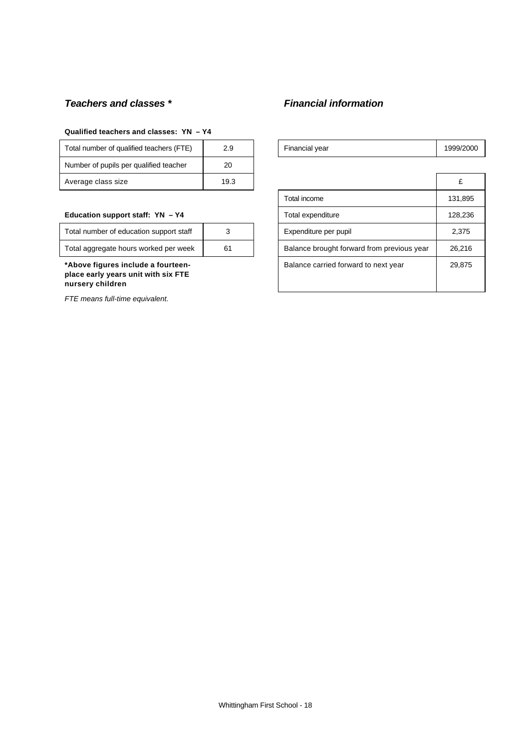## *Teachers and classes \* Financial information*

#### **Qualified teachers and classes: YN – Y4**

| Total number of qualified teachers (FTE) | 2.9  | Financial year | 1999/ |
|------------------------------------------|------|----------------|-------|
| Number of pupils per qualified teacher   | 20   |                |       |
| Average class size                       | 19.3 |                | £     |

#### Education support staff: YN - Y4

| Total number of education support staff |    |
|-----------------------------------------|----|
| Total aggregate hours worked per week   | 61 |

*FTE means full-time equivalent.*

| Total number of qualified teachers (FTE)                                                      | 2.9  | Financial year                             | 1999/2000 |
|-----------------------------------------------------------------------------------------------|------|--------------------------------------------|-----------|
| Number of pupils per qualified teacher                                                        | 20   |                                            |           |
| Average class size                                                                            | 19.3 |                                            | £         |
|                                                                                               |      | Total income                               | 131,895   |
| Education support staff: YN - Y4                                                              |      | Total expenditure                          | 128,236   |
| Total number of education support staff                                                       | 3    | Expenditure per pupil                      | 2,375     |
| Total aggregate hours worked per week                                                         | 61   | Balance brought forward from previous year | 26,216    |
| *Above figures include a fourteen-<br>place early years unit with six FTE<br>nursery children |      | Balance carried forward to next year       | 29,875    |